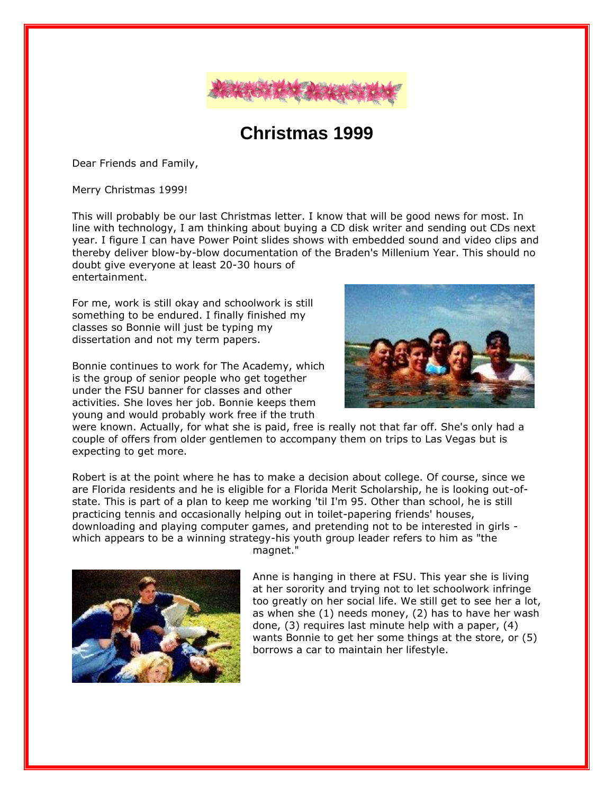

## **Christmas 1999**

Dear Friends and Family,

Merry Christmas 1999!

This will probably be our last Christmas letter. I know that will be good news for most. In line with technology, I am thinking about buying a CD disk writer and sending out CDs next year. I figure I can have Power Point slides shows with embedded sound and video clips and thereby deliver blow-by-blow documentation of the Braden's Millenium Year. This should no doubt give everyone at least 20-30 hours of entertainment.

For me, work is still okay and schoolwork is still something to be endured. I finally finished my classes so Bonnie will just be typing my dissertation and not my term papers.

Bonnie continues to work for The Academy, which is the group of senior people who get together under the FSU banner for classes and other activities. She loves her job. Bonnie keeps them young and would probably work free if the truth



were known. Actually, for what she is paid, free is really not that far off. She's only had a couple of offers from older gentlemen to accompany them on trips to Las Vegas but is expecting to get more.

Robert is at the point where he has to make a decision about college. Of course, since we are Florida residents and he is eligible for a Florida Merit Scholarship, he is looking out-ofstate. This is part of a plan to keep me working 'til I'm 95. Other than school, he is still practicing tennis and occasionally helping out in toilet-papering friends' houses, downloading and playing computer games, and pretending not to be interested in girls which appears to be a winning strategy-his youth group leader refers to him as "the



magnet."

Anne is hanging in there at FSU. This year she is living at her sorority and trying not to let schoolwork infringe too greatly on her social life. We still get to see her a lot, as when she (1) needs money, (2) has to have her wash done, (3) requires last minute help with a paper, (4) wants Bonnie to get her some things at the store, or (5) borrows a car to maintain her lifestyle.